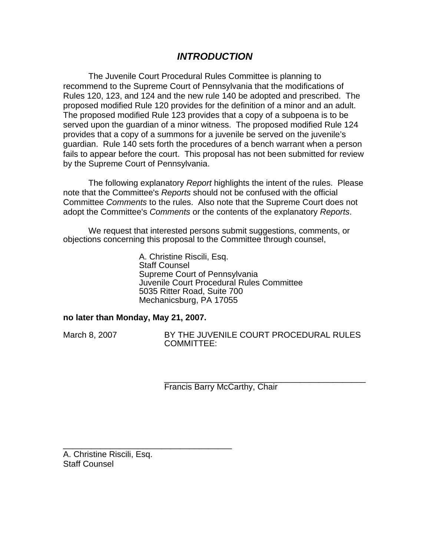# *INTRODUCTION*

The Juvenile Court Procedural Rules Committee is planning to recommend to the Supreme Court of Pennsylvania that the modifications of Rules 120, 123, and 124 and the new rule 140 be adopted and prescribed. The proposed modified Rule 120 provides for the definition of a minor and an adult. The proposed modified Rule 123 provides that a copy of a subpoena is to be served upon the guardian of a minor witness. The proposed modified Rule 124 provides that a copy of a summons for a juvenile be served on the juvenile's guardian. Rule 140 sets forth the procedures of a bench warrant when a person fails to appear before the court. This proposal has not been submitted for review by the Supreme Court of Pennsylvania.

The following explanatory *Report* highlights the intent of the rules. Please note that the Committee's *Reports* should not be confused with the official Committee *Comments* to the rules. Also note that the Supreme Court does not adopt the Committee's *Comments* or the contents of the explanatory *Reports*.

We request that interested persons submit suggestions, comments, or objections concerning this proposal to the Committee through counsel,

> A. Christine Riscili, Esq. Staff Counsel Supreme Court of Pennsylvania Juvenile Court Procedural Rules Committee 5035 Ritter Road, Suite 700 Mechanicsburg, PA 17055

### **no later than Monday, May 21, 2007.**

\_\_\_\_\_\_\_\_\_\_\_\_\_\_\_\_\_\_\_\_\_\_\_\_\_\_\_\_\_\_\_\_\_\_\_\_

March 8, 2007 BY THE JUVENILE COURT PROCEDURAL RULES COMMITTEE:

> \_\_\_\_\_\_\_\_\_\_\_\_\_\_\_\_\_\_\_\_\_\_\_\_\_\_\_\_\_\_\_\_\_\_\_\_\_\_\_\_\_\_\_ Francis Barry McCarthy, Chair

A. Christine Riscili, Esq. Staff Counsel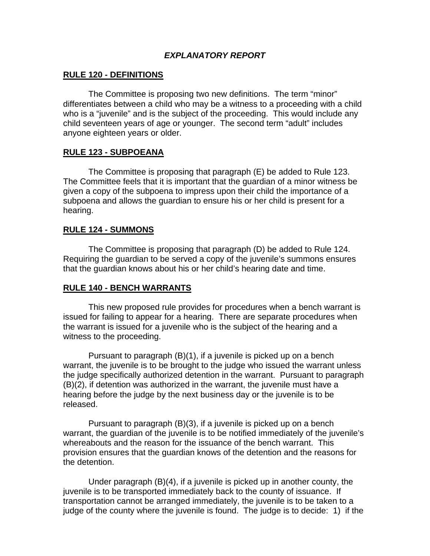## *EXPLANATORY REPORT*

## **RULE 120 - DEFINITIONS**

 The Committee is proposing two new definitions. The term "minor" differentiates between a child who may be a witness to a proceeding with a child who is a "juvenile" and is the subject of the proceeding. This would include any child seventeen years of age or younger. The second term "adult" includes anyone eighteen years or older.

### **RULE 123 - SUBPOEANA**

 The Committee is proposing that paragraph (E) be added to Rule 123. The Committee feels that it is important that the guardian of a minor witness be given a copy of the subpoena to impress upon their child the importance of a subpoena and allows the guardian to ensure his or her child is present for a hearing.

#### **RULE 124 - SUMMONS**

 The Committee is proposing that paragraph (D) be added to Rule 124. Requiring the guardian to be served a copy of the juvenile's summons ensures that the guardian knows about his or her child's hearing date and time.

### **RULE 140 - BENCH WARRANTS**

 This new proposed rule provides for procedures when a bench warrant is issued for failing to appear for a hearing. There are separate procedures when the warrant is issued for a juvenile who is the subject of the hearing and a witness to the proceeding.

 Pursuant to paragraph (B)(1), if a juvenile is picked up on a bench warrant, the juvenile is to be brought to the judge who issued the warrant unless the judge specifically authorized detention in the warrant. Pursuant to paragraph (B)(2), if detention was authorized in the warrant, the juvenile must have a hearing before the judge by the next business day or the juvenile is to be released.

 Pursuant to paragraph (B)(3), if a juvenile is picked up on a bench warrant, the guardian of the juvenile is to be notified immediately of the juvenile's whereabouts and the reason for the issuance of the bench warrant. This provision ensures that the guardian knows of the detention and the reasons for the detention.

 Under paragraph (B)(4), if a juvenile is picked up in another county, the juvenile is to be transported immediately back to the county of issuance. If transportation cannot be arranged immediately, the juvenile is to be taken to a judge of the county where the juvenile is found. The judge is to decide: 1) if the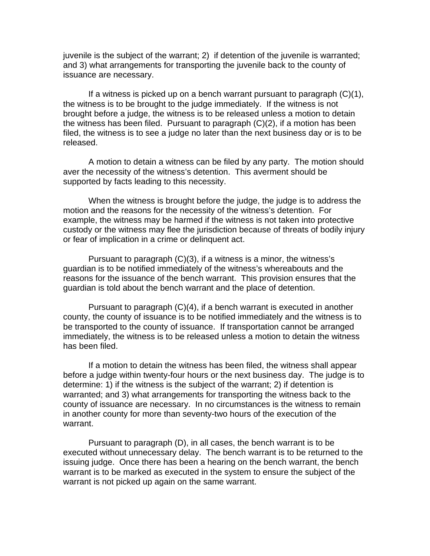juvenile is the subject of the warrant; 2) if detention of the juvenile is warranted; and 3) what arrangements for transporting the juvenile back to the county of issuance are necessary.

 If a witness is picked up on a bench warrant pursuant to paragraph (C)(1), the witness is to be brought to the judge immediately. If the witness is not brought before a judge, the witness is to be released unless a motion to detain the witness has been filed. Pursuant to paragraph (C)(2), if a motion has been filed, the witness is to see a judge no later than the next business day or is to be released.

 A motion to detain a witness can be filed by any party. The motion should aver the necessity of the witness's detention. This averment should be supported by facts leading to this necessity.

 When the witness is brought before the judge, the judge is to address the motion and the reasons for the necessity of the witness's detention. For example, the witness may be harmed if the witness is not taken into protective custody or the witness may flee the jurisdiction because of threats of bodily injury or fear of implication in a crime or delinquent act.

 Pursuant to paragraph (C)(3), if a witness is a minor, the witness's guardian is to be notified immediately of the witness's whereabouts and the reasons for the issuance of the bench warrant. This provision ensures that the guardian is told about the bench warrant and the place of detention.

 Pursuant to paragraph (C)(4), if a bench warrant is executed in another county, the county of issuance is to be notified immediately and the witness is to be transported to the county of issuance. If transportation cannot be arranged immediately, the witness is to be released unless a motion to detain the witness has been filed.

 If a motion to detain the witness has been filed, the witness shall appear before a judge within twenty-four hours or the next business day. The judge is to determine: 1) if the witness is the subject of the warrant; 2) if detention is warranted; and 3) what arrangements for transporting the witness back to the county of issuance are necessary. In no circumstances is the witness to remain in another county for more than seventy-two hours of the execution of the warrant.

 Pursuant to paragraph (D), in all cases, the bench warrant is to be executed without unnecessary delay. The bench warrant is to be returned to the issuing judge. Once there has been a hearing on the bench warrant, the bench warrant is to be marked as executed in the system to ensure the subject of the warrant is not picked up again on the same warrant.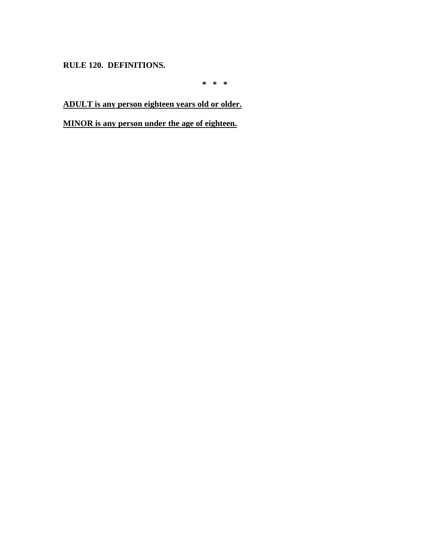**RULE 120. DEFINITIONS.** 

**\* \* \*** 

**ADULT is any person eighteen years old or older.**

**MINOR is any person under the age of eighteen.**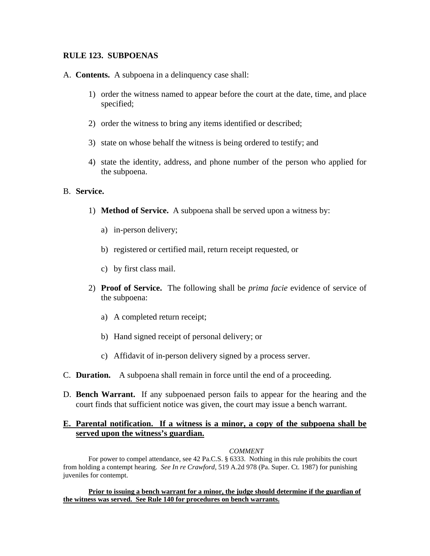### **RULE 123. SUBPOENAS**

- A. **Contents.** A subpoena in a delinquency case shall:
	- 1) order the witness named to appear before the court at the date, time, and place specified;
	- 2) order the witness to bring any items identified or described;
	- 3) state on whose behalf the witness is being ordered to testify; and
	- 4) state the identity, address, and phone number of the person who applied for the subpoena.

#### B. **Service.**

- 1) **Method of Service.** A subpoena shall be served upon a witness by:
	- a) in-person delivery;
	- b) registered or certified mail, return receipt requested, or
	- c) by first class mail.
- 2) **Proof of Service.** The following shall be *prima facie* evidence of service of the subpoena:
	- a) A completed return receipt;
	- b) Hand signed receipt of personal delivery; or
	- c) Affidavit of in-person delivery signed by a process server.
- C. **Duration.** A subpoena shall remain in force until the end of a proceeding.
- D. **Bench Warrant.** If any subpoenaed person fails to appear for the hearing and the court finds that sufficient notice was given, the court may issue a bench warrant.

#### **E. Parental notification. If a witness is a minor, a copy of the subpoena shall be served upon the witness's guardian.**

#### *COMMENT*

For power to compel attendance, see 42 Pa.C.S. § 6333. Nothing in this rule prohibits the court from holding a contempt hearing. *See In re Crawford*, 519 A.2d 978 (Pa. Super. Ct. 1987) for punishing juveniles for contempt.

**Prior to issuing a bench warrant for a minor, the judge should determine if the guardian of the witness was served. See Rule 140 for procedures on bench warrants.**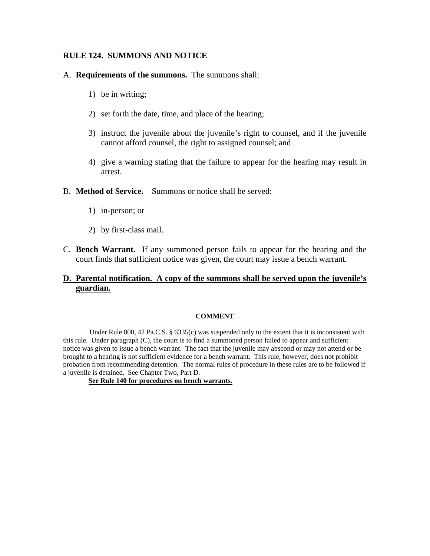### **RULE 124. SUMMONS AND NOTICE**

#### A. **Requirements of the summons.** The summons shall:

- 1) be in writing;
- 2) set forth the date, time, and place of the hearing;
- 3) instruct the juvenile about the juvenile's right to counsel, and if the juvenile cannot afford counsel, the right to assigned counsel; and
- 4) give a warning stating that the failure to appear for the hearing may result in arrest.
- B. **Method of Service.** Summons or notice shall be served:
	- 1) in-person; or
	- 2) by first-class mail.
- C. **Bench Warrant.** If any summoned person fails to appear for the hearing and the court finds that sufficient notice was given, the court may issue a bench warrant.

### **D. Parental notification. A copy of the summons shall be served upon the juvenile's guardian.**

#### **COMMENT**

Under Rule 800, 42 Pa.C.S. § 6335(c) was suspended only to the extent that it is inconsistent with this rule. Under paragraph (C), the court is to find a summoned person failed to appear and sufficient notice was given to issue a bench warrant. The fact that the juvenile may abscond or may not attend or be brought to a hearing is not sufficient evidence for a bench warrant. This rule, however, does not prohibit probation from recommending detention. The normal rules of procedure in these rules are to be followed if a juvenile is detained. See Chapter Two, Part D.

**See Rule 140 for procedures on bench warrants.**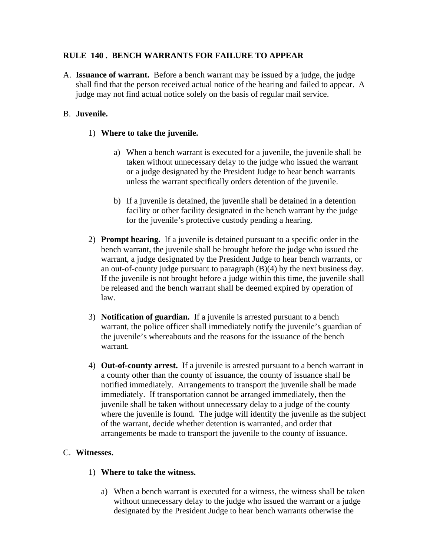## **RULE 140 . BENCH WARRANTS FOR FAILURE TO APPEAR**

A. **Issuance of warrant.** Before a bench warrant may be issued by a judge, the judge shall find that the person received actual notice of the hearing and failed to appear. A judge may not find actual notice solely on the basis of regular mail service.

## B. **Juvenile.**

### 1) **Where to take the juvenile.**

- a) When a bench warrant is executed for a juvenile, the juvenile shall be taken without unnecessary delay to the judge who issued the warrant or a judge designated by the President Judge to hear bench warrants unless the warrant specifically orders detention of the juvenile.
- b) If a juvenile is detained, the juvenile shall be detained in a detention facility or other facility designated in the bench warrant by the judge for the juvenile's protective custody pending a hearing.
- 2) **Prompt hearing.** If a juvenile is detained pursuant to a specific order in the bench warrant, the juvenile shall be brought before the judge who issued the warrant, a judge designated by the President Judge to hear bench warrants, or an out-of-county judge pursuant to paragraph (B)(4) by the next business day. If the juvenile is not brought before a judge within this time, the juvenile shall be released and the bench warrant shall be deemed expired by operation of law.
- 3) **Notification of guardian.** If a juvenile is arrested pursuant to a bench warrant, the police officer shall immediately notify the juvenile's guardian of the juvenile's whereabouts and the reasons for the issuance of the bench warrant.
- 4) **Out-of-county arrest.** If a juvenile is arrested pursuant to a bench warrant in a county other than the county of issuance, the county of issuance shall be notified immediately. Arrangements to transport the juvenile shall be made immediately. If transportation cannot be arranged immediately, then the juvenile shall be taken without unnecessary delay to a judge of the county where the juvenile is found. The judge will identify the juvenile as the subject of the warrant, decide whether detention is warranted, and order that arrangements be made to transport the juvenile to the county of issuance.

### C. **Witnesses.**

### 1) **Where to take the witness.**

a) When a bench warrant is executed for a witness, the witness shall be taken without unnecessary delay to the judge who issued the warrant or a judge designated by the President Judge to hear bench warrants otherwise the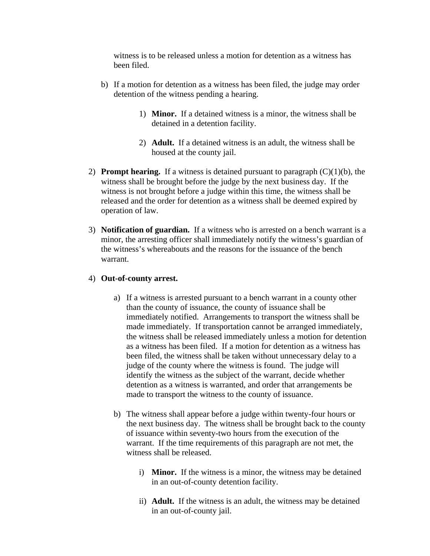witness is to be released unless a motion for detention as a witness has been filed.

- b) If a motion for detention as a witness has been filed, the judge may order detention of the witness pending a hearing.
	- 1) **Minor.** If a detained witness is a minor, the witness shall be detained in a detention facility.
	- 2) **Adult.** If a detained witness is an adult, the witness shall be housed at the county jail.
- 2) **Prompt hearing.** If a witness is detained pursuant to paragraph (C)(1)(b), the witness shall be brought before the judge by the next business day. If the witness is not brought before a judge within this time, the witness shall be released and the order for detention as a witness shall be deemed expired by operation of law.
- 3) **Notification of guardian.** If a witness who is arrested on a bench warrant is a minor, the arresting officer shall immediately notify the witness's guardian of the witness's whereabouts and the reasons for the issuance of the bench warrant.

#### 4) **Out-of-county arrest.**

- a) If a witness is arrested pursuant to a bench warrant in a county other than the county of issuance, the county of issuance shall be immediately notified. Arrangements to transport the witness shall be made immediately. If transportation cannot be arranged immediately, the witness shall be released immediately unless a motion for detention as a witness has been filed. If a motion for detention as a witness has been filed, the witness shall be taken without unnecessary delay to a judge of the county where the witness is found. The judge will identify the witness as the subject of the warrant, decide whether detention as a witness is warranted, and order that arrangements be made to transport the witness to the county of issuance.
- b) The witness shall appear before a judge within twenty-four hours or the next business day. The witness shall be brought back to the county of issuance within seventy-two hours from the execution of the warrant. If the time requirements of this paragraph are not met, the witness shall be released.
	- i) **Minor.** If the witness is a minor, the witness may be detained in an out-of-county detention facility.
	- ii) **Adult.** If the witness is an adult, the witness may be detained in an out-of-county jail.